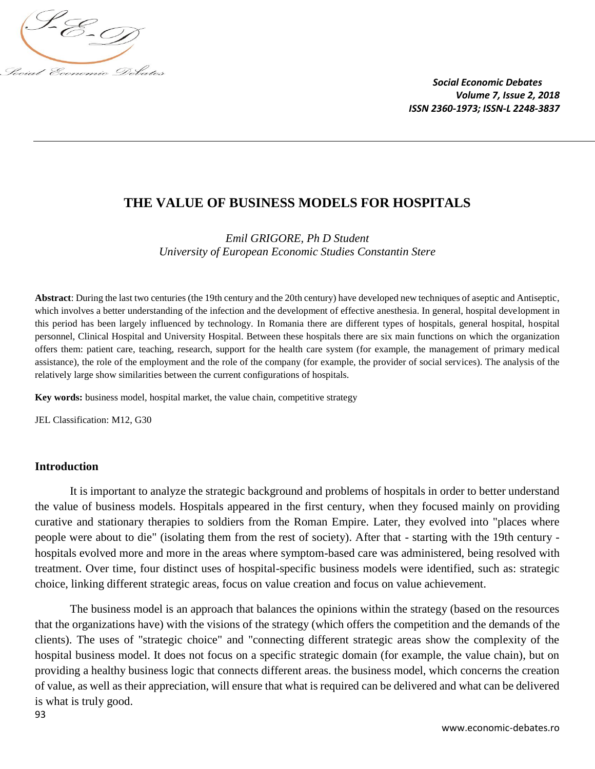

## **THE VALUE OF BUSINESS MODELS FOR HOSPITALS**

*Emil GRIGORE, Ph D Student University of European Economic Studies Constantin Stere*

**Abstract**: During the last two centuries (the 19th century and the 20th century) have developed new techniques of aseptic and Antiseptic, which involves a better understanding of the infection and the development of effective anesthesia. In general, hospital development in this period has been largely influenced by technology. In Romania there are different types of hospitals, general hospital, hospital personnel, Clinical Hospital and University Hospital. Between these hospitals there are six main functions on which the organization offers them: patient care, teaching, research, support for the health care system (for example, the management of primary medical assistance), the role of the employment and the role of the company (for example, the provider of social services). The analysis of the relatively large show similarities between the current configurations of hospitals.

**Key words:** business model, hospital market, the value chain, competitive strategy

JEL Classification: M12, G30

## **Introduction**

It is important to analyze the strategic background and problems of hospitals in order to better understand the value of business models. Hospitals appeared in the first century, when they focused mainly on providing curative and stationary therapies to soldiers from the Roman Empire. Later, they evolved into "places where people were about to die" (isolating them from the rest of society). After that - starting with the 19th century hospitals evolved more and more in the areas where symptom-based care was administered, being resolved with treatment. Over time, four distinct uses of hospital-specific business models were identified, such as: strategic choice, linking different strategic areas, focus on value creation and focus on value achievement.

The business model is an approach that balances the opinions within the strategy (based on the resources that the organizations have) with the visions of the strategy (which offers the competition and the demands of the clients). The uses of "strategic choice" and "connecting different strategic areas show the complexity of the hospital business model. It does not focus on a specific strategic domain (for example, the value chain), but on providing a healthy business logic that connects different areas. the business model, which concerns the creation of value, as well as their appreciation, will ensure that what is required can be delivered and what can be delivered is what is truly good.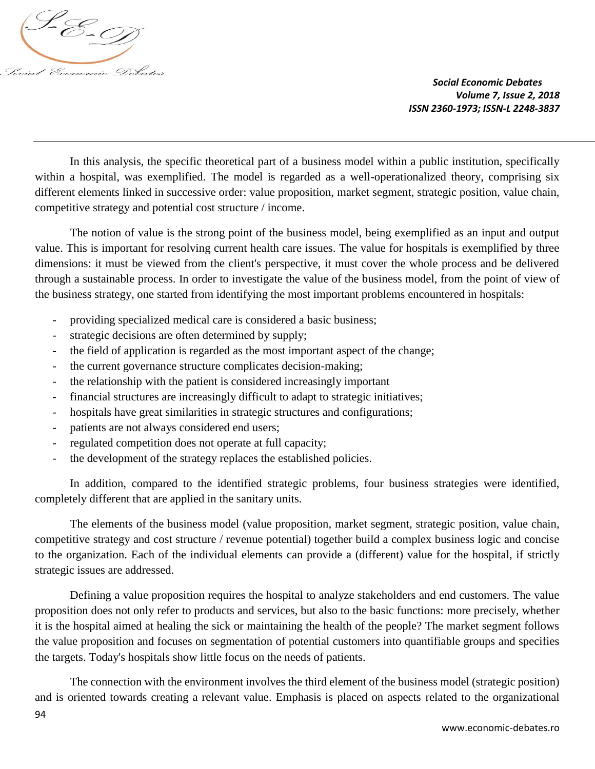

In this analysis, the specific theoretical part of a business model within a public institution, specifically within a hospital, was exemplified. The model is regarded as a well-operationalized theory, comprising six different elements linked in successive order: value proposition, market segment, strategic position, value chain, competitive strategy and potential cost structure / income.

The notion of value is the strong point of the business model, being exemplified as an input and output value. This is important for resolving current health care issues. The value for hospitals is exemplified by three dimensions: it must be viewed from the client's perspective, it must cover the whole process and be delivered through a sustainable process. In order to investigate the value of the business model, from the point of view of the business strategy, one started from identifying the most important problems encountered in hospitals:

- providing specialized medical care is considered a basic business;
- strategic decisions are often determined by supply;
- the field of application is regarded as the most important aspect of the change;
- the current governance structure complicates decision-making;
- the relationship with the patient is considered increasingly important
- financial structures are increasingly difficult to adapt to strategic initiatives;
- hospitals have great similarities in strategic structures and configurations;
- patients are not always considered end users;
- regulated competition does not operate at full capacity;
- the development of the strategy replaces the established policies.

In addition, compared to the identified strategic problems, four business strategies were identified, completely different that are applied in the sanitary units.

The elements of the business model (value proposition, market segment, strategic position, value chain, competitive strategy and cost structure / revenue potential) together build a complex business logic and concise to the organization. Each of the individual elements can provide a (different) value for the hospital, if strictly strategic issues are addressed.

Defining a value proposition requires the hospital to analyze stakeholders and end customers. The value proposition does not only refer to products and services, but also to the basic functions: more precisely, whether it is the hospital aimed at healing the sick or maintaining the health of the people? The market segment follows the value proposition and focuses on segmentation of potential customers into quantifiable groups and specifies the targets. Today's hospitals show little focus on the needs of patients.

The connection with the environment involves the third element of the business model (strategic position) and is oriented towards creating a relevant value. Emphasis is placed on aspects related to the organizational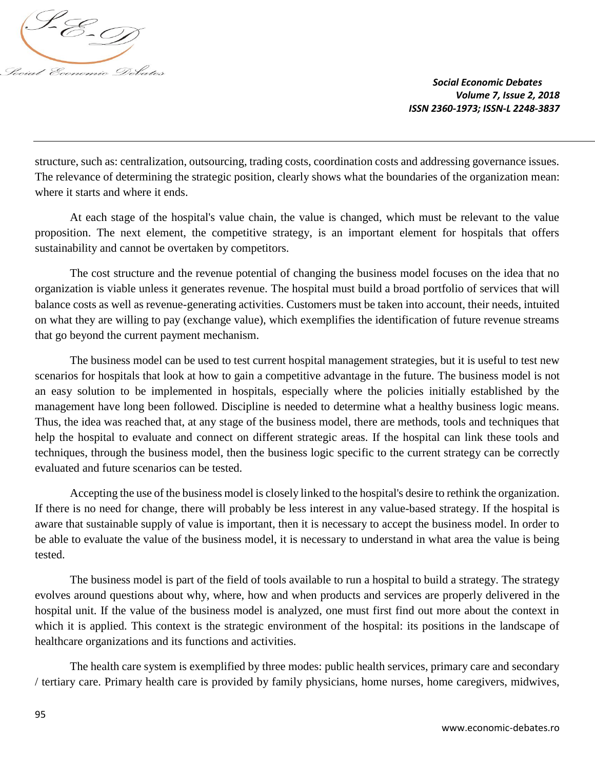

structure, such as: centralization, outsourcing, trading costs, coordination costs and addressing governance issues. The relevance of determining the strategic position, clearly shows what the boundaries of the organization mean: where it starts and where it ends.

At each stage of the hospital's value chain, the value is changed, which must be relevant to the value proposition. The next element, the competitive strategy, is an important element for hospitals that offers sustainability and cannot be overtaken by competitors.

The cost structure and the revenue potential of changing the business model focuses on the idea that no organization is viable unless it generates revenue. The hospital must build a broad portfolio of services that will balance costs as well as revenue-generating activities. Customers must be taken into account, their needs, intuited on what they are willing to pay (exchange value), which exemplifies the identification of future revenue streams that go beyond the current payment mechanism.

The business model can be used to test current hospital management strategies, but it is useful to test new scenarios for hospitals that look at how to gain a competitive advantage in the future. The business model is not an easy solution to be implemented in hospitals, especially where the policies initially established by the management have long been followed. Discipline is needed to determine what a healthy business logic means. Thus, the idea was reached that, at any stage of the business model, there are methods, tools and techniques that help the hospital to evaluate and connect on different strategic areas. If the hospital can link these tools and techniques, through the business model, then the business logic specific to the current strategy can be correctly evaluated and future scenarios can be tested.

Accepting the use of the business model is closely linked to the hospital's desire to rethink the organization. If there is no need for change, there will probably be less interest in any value-based strategy. If the hospital is aware that sustainable supply of value is important, then it is necessary to accept the business model. In order to be able to evaluate the value of the business model, it is necessary to understand in what area the value is being tested.

The business model is part of the field of tools available to run a hospital to build a strategy. The strategy evolves around questions about why, where, how and when products and services are properly delivered in the hospital unit. If the value of the business model is analyzed, one must first find out more about the context in which it is applied. This context is the strategic environment of the hospital: its positions in the landscape of healthcare organizations and its functions and activities.

The health care system is exemplified by three modes: public health services, primary care and secondary / tertiary care. Primary health care is provided by family physicians, home nurses, home caregivers, midwives,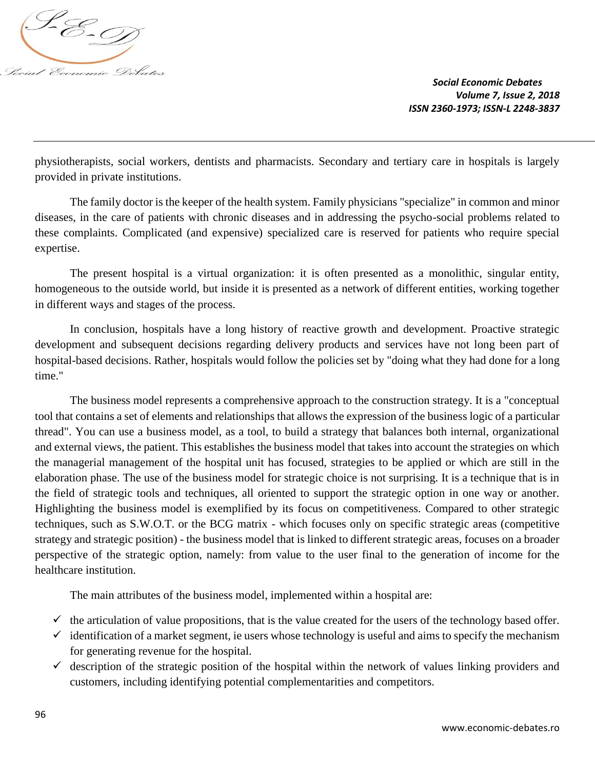

physiotherapists, social workers, dentists and pharmacists. Secondary and tertiary care in hospitals is largely provided in private institutions.

The family doctor is the keeper of the health system. Family physicians "specialize" in common and minor diseases, in the care of patients with chronic diseases and in addressing the psycho-social problems related to these complaints. Complicated (and expensive) specialized care is reserved for patients who require special expertise.

The present hospital is a virtual organization: it is often presented as a monolithic, singular entity, homogeneous to the outside world, but inside it is presented as a network of different entities, working together in different ways and stages of the process.

In conclusion, hospitals have a long history of reactive growth and development. Proactive strategic development and subsequent decisions regarding delivery products and services have not long been part of hospital-based decisions. Rather, hospitals would follow the policies set by "doing what they had done for a long time."

The business model represents a comprehensive approach to the construction strategy. It is a "conceptual tool that contains a set of elements and relationships that allows the expression of the business logic of a particular thread". You can use a business model, as a tool, to build a strategy that balances both internal, organizational and external views, the patient. This establishes the business model that takes into account the strategies on which the managerial management of the hospital unit has focused, strategies to be applied or which are still in the elaboration phase. The use of the business model for strategic choice is not surprising. It is a technique that is in the field of strategic tools and techniques, all oriented to support the strategic option in one way or another. Highlighting the business model is exemplified by its focus on competitiveness. Compared to other strategic techniques, such as S.W.O.T. or the BCG matrix - which focuses only on specific strategic areas (competitive strategy and strategic position) - the business model that is linked to different strategic areas, focuses on a broader perspective of the strategic option, namely: from value to the user final to the generation of income for the healthcare institution.

The main attributes of the business model, implemented within a hospital are:

- $\checkmark$  the articulation of value propositions, that is the value created for the users of the technology based offer.
- $\checkmark$  identification of a market segment, ie users whose technology is useful and aims to specify the mechanism for generating revenue for the hospital.
- $\checkmark$  description of the strategic position of the hospital within the network of values linking providers and customers, including identifying potential complementarities and competitors.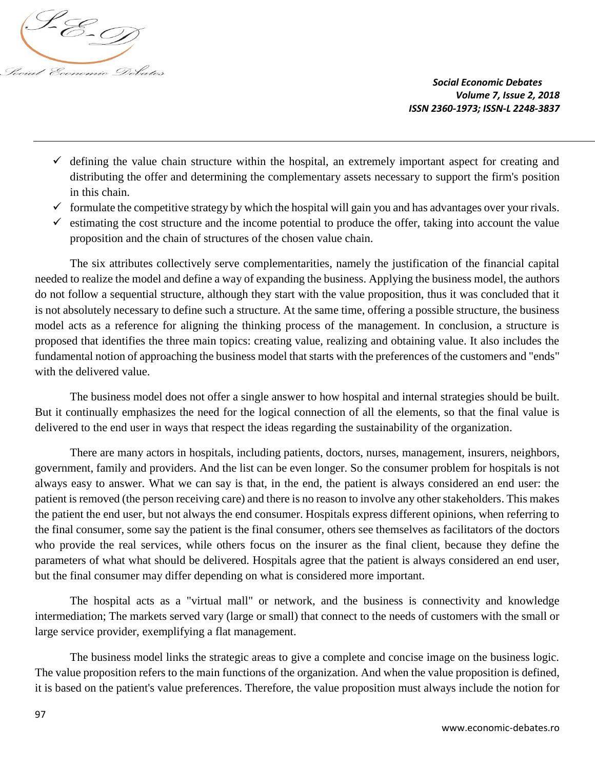

- $\checkmark$  defining the value chain structure within the hospital, an extremely important aspect for creating and distributing the offer and determining the complementary assets necessary to support the firm's position in this chain.
- $\checkmark$  formulate the competitive strategy by which the hospital will gain you and has advantages over your rivals.
- $\checkmark$  estimating the cost structure and the income potential to produce the offer, taking into account the value proposition and the chain of structures of the chosen value chain.

The six attributes collectively serve complementarities, namely the justification of the financial capital needed to realize the model and define a way of expanding the business. Applying the business model, the authors do not follow a sequential structure, although they start with the value proposition, thus it was concluded that it is not absolutely necessary to define such a structure. At the same time, offering a possible structure, the business model acts as a reference for aligning the thinking process of the management. In conclusion, a structure is proposed that identifies the three main topics: creating value, realizing and obtaining value. It also includes the fundamental notion of approaching the business model that starts with the preferences of the customers and "ends" with the delivered value.

The business model does not offer a single answer to how hospital and internal strategies should be built. But it continually emphasizes the need for the logical connection of all the elements, so that the final value is delivered to the end user in ways that respect the ideas regarding the sustainability of the organization.

There are many actors in hospitals, including patients, doctors, nurses, management, insurers, neighbors, government, family and providers. And the list can be even longer. So the consumer problem for hospitals is not always easy to answer. What we can say is that, in the end, the patient is always considered an end user: the patient is removed (the person receiving care) and there is no reason to involve any other stakeholders. This makes the patient the end user, but not always the end consumer. Hospitals express different opinions, when referring to the final consumer, some say the patient is the final consumer, others see themselves as facilitators of the doctors who provide the real services, while others focus on the insurer as the final client, because they define the parameters of what what should be delivered. Hospitals agree that the patient is always considered an end user, but the final consumer may differ depending on what is considered more important.

The hospital acts as a "virtual mall" or network, and the business is connectivity and knowledge intermediation; The markets served vary (large or small) that connect to the needs of customers with the small or large service provider, exemplifying a flat management.

The business model links the strategic areas to give a complete and concise image on the business logic. The value proposition refers to the main functions of the organization. And when the value proposition is defined, it is based on the patient's value preferences. Therefore, the value proposition must always include the notion for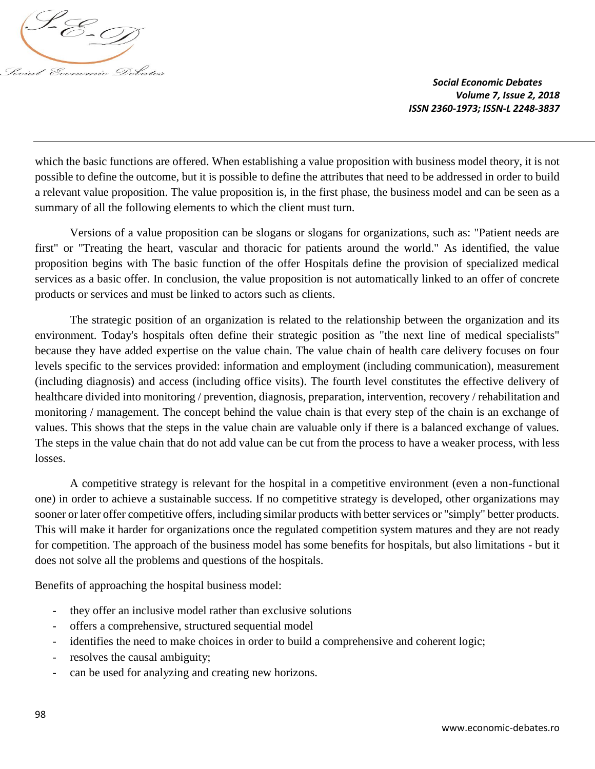

which the basic functions are offered. When establishing a value proposition with business model theory, it is not possible to define the outcome, but it is possible to define the attributes that need to be addressed in order to build a relevant value proposition. The value proposition is, in the first phase, the business model and can be seen as a summary of all the following elements to which the client must turn.

Versions of a value proposition can be slogans or slogans for organizations, such as: "Patient needs are first" or "Treating the heart, vascular and thoracic for patients around the world." As identified, the value proposition begins with The basic function of the offer Hospitals define the provision of specialized medical services as a basic offer. In conclusion, the value proposition is not automatically linked to an offer of concrete products or services and must be linked to actors such as clients.

The strategic position of an organization is related to the relationship between the organization and its environment. Today's hospitals often define their strategic position as "the next line of medical specialists" because they have added expertise on the value chain. The value chain of health care delivery focuses on four levels specific to the services provided: information and employment (including communication), measurement (including diagnosis) and access (including office visits). The fourth level constitutes the effective delivery of healthcare divided into monitoring / prevention, diagnosis, preparation, intervention, recovery / rehabilitation and monitoring / management. The concept behind the value chain is that every step of the chain is an exchange of values. This shows that the steps in the value chain are valuable only if there is a balanced exchange of values. The steps in the value chain that do not add value can be cut from the process to have a weaker process, with less losses.

A competitive strategy is relevant for the hospital in a competitive environment (even a non-functional one) in order to achieve a sustainable success. If no competitive strategy is developed, other organizations may sooner or later offer competitive offers, including similar products with better services or "simply" better products. This will make it harder for organizations once the regulated competition system matures and they are not ready for competition. The approach of the business model has some benefits for hospitals, but also limitations - but it does not solve all the problems and questions of the hospitals.

Benefits of approaching the hospital business model:

- they offer an inclusive model rather than exclusive solutions
- offers a comprehensive, structured sequential model
- identifies the need to make choices in order to build a comprehensive and coherent logic;
- resolves the causal ambiguity;
- can be used for analyzing and creating new horizons.